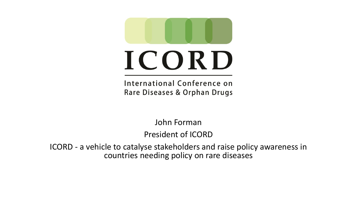

# ICORD

International Conference on Rare Diseases & Orphan Drugs

John Forman

President of ICORD

ICORD - a vehicle to catalyse stakeholders and raise policy awareness in countries needing policy on rare diseases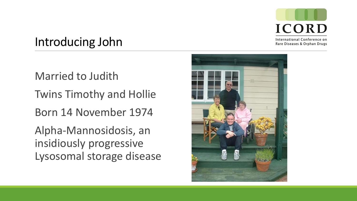

Introducing John

Married to Judith

Twins Timothy and Hollie

Born 14 November 1974

Alpha-Mannosidosis, an insidiously progressive Lysosomal storage disease

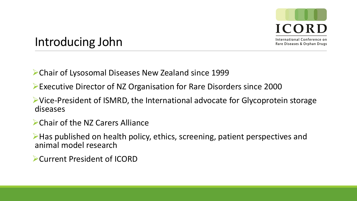

#### Introducing John

Chair of Lysosomal Diseases New Zealand since 1999

- Executive Director of NZ Organisation for Rare Disorders since 2000
- Vice-President of ISMRD, the International advocate for Glycoprotein storage diseases
- Chair of the NZ Carers Alliance
- Has published on health policy, ethics, screening, patient perspectives and animal model research
- Current President of ICORD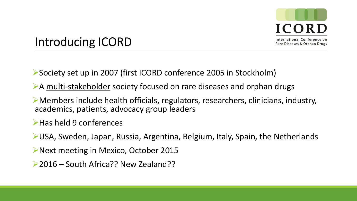

### Introducing ICORD

Society set up in 2007 (first ICORD conference 2005 in Stockholm)

- A multi-stakeholder society focused on rare diseases and orphan drugs
- Members include health officials, regulators, researchers, clinicians, industry, academics, patients, advocacy group leaders

**Example 13 Follows** 

USA, Sweden, Japan, Russia, Argentina, Belgium, Italy, Spain, the Netherlands

- ▶Next meeting in Mexico, October 2015
- ▶ 2016 South Africa?? New Zealand??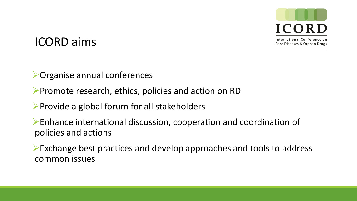

### ICORD aims

Organise annual conferences

 $\triangleright$  Promote research, ethics, policies and action on RD

 $\triangleright$  Provide a global forum for all stakeholders

Enhance international discussion, cooperation and coordination of policies and actions

Exchange best practices and develop approaches and tools to address common issues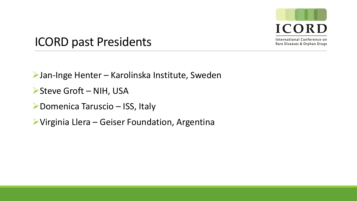

## ICORD past Presidents

Jan-Inge Henter – Karolinska Institute, Sweden

▶ Steve Groft – NIH, USA

▶Domenica Taruscio – ISS, Italy

Virginia Llera – Geiser Foundation, Argentina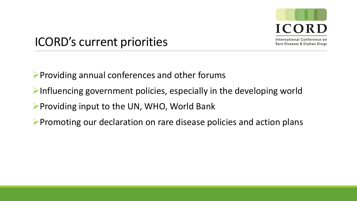

ICORD's current priorities

- $\triangleright$  Providing annual conferences and other forums
- $\triangleright$ Influencing government policies, especially in the developing world
- $\triangleright$  Providing input to the UN, WHO, World Bank
- Promoting our declaration on rare disease policies and action plans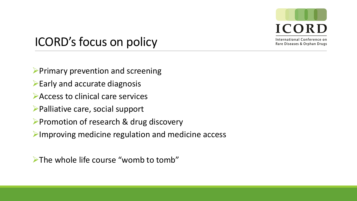

# ICORD's focus on policy

- $\triangleright$  Primary prevention and screening
- $\blacktriangleright$  Early and accurate diagnosis
- Access to clinical care services
- Palliative care, social support
- **Promotion of research & drug discovery**
- $\triangleright$ Improving medicine regulation and medicine access

 $\triangleright$  The whole life course "womb to tomb"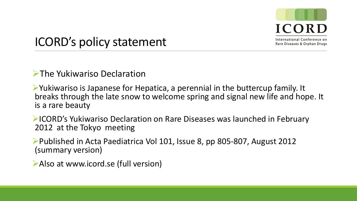

# ICORD's policy statement

#### **The Yukiwariso Declaration**

Yukiwariso is Japanese for Hepatica, a perennial in the buttercup family. It breaks through the late snow to welcome spring and signal new life and hope. It is a rare beauty

ICORD's Yukiwariso Declaration on Rare Diseases was launched in February 2012 at the Tokyo meeting

Published in Acta Paediatrica Vol 101, Issue 8, pp 805-807, August 2012 (summary version)

Also at www.icord.se (full version)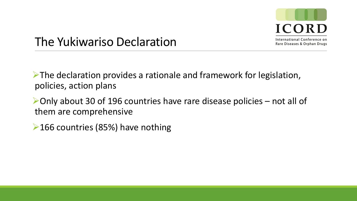

The Yukiwariso Declaration

 $\triangleright$  The declaration provides a rationale and framework for legislation, policies, action plans

Only about 30 of 196 countries have rare disease policies – not all of them are comprehensive

▶ 166 countries (85%) have nothing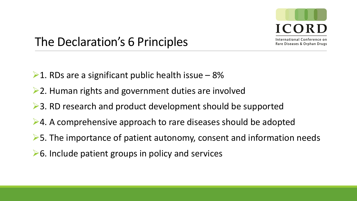

The Declaration's 6 Principles

- $\geq 1$ . RDs are a significant public health issue  $-8\%$
- **►2. Human rights and government duties are involved**
- **►3. RD research and product development should be supported**
- $\geq 4$ . A comprehensive approach to rare diseases should be adopted
- $\triangleright$  5. The importance of patient autonomy, consent and information needs
- $\triangleright$  6. Include patient groups in policy and services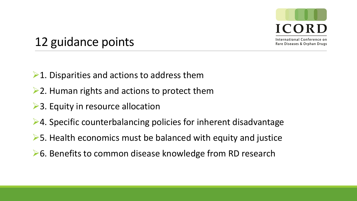

12 guidance points

- $\geq 1$ . Disparities and actions to address them
- $\geq$  2. Human rights and actions to protect them
- **►3. Equity in resource allocation**
- ▶ 4. Specific counterbalancing policies for inherent disadvantage
- $\triangleright$  5. Health economics must be balanced with equity and justice
- **►6. Benefits to common disease knowledge from RD research**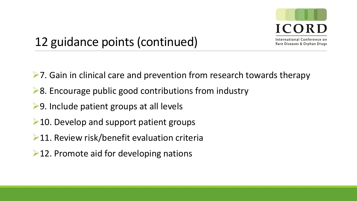

# 12 guidance points (continued)

- $\triangleright$ 7. Gain in clinical care and prevention from research towards therapy
- $\geq 8$ . Encourage public good contributions from industry
- **►9. Include patient groups at all levels**
- $\geq$  10. Develop and support patient groups
- $\geq 11$ . Review risk/benefit evaluation criteria
- $\geq$  12. Promote aid for developing nations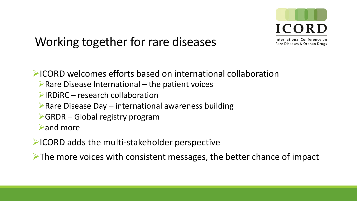

# Working together for rare diseases

 $\blacktriangleright$  ICORD welcomes efforts based on international collaboration

- $\triangleright$  Rare Disease International the patient voices
- $\triangleright$  IRDIRC research collaboration
- $\triangleright$  Rare Disease Day international awareness building
- $\triangleright$  GRDR Global registry program

and more

**EICORD adds the multi-stakeholder perspective** 

 $\triangleright$  The more voices with consistent messages, the better chance of impact